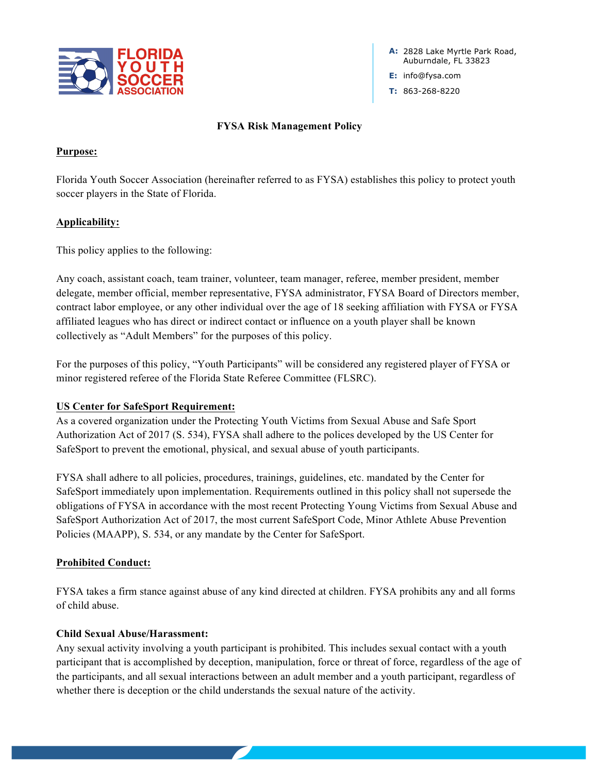

**E:** info@fysa.com

**T:** 863-268-8220

### **FYSA Risk Management Policy**

## **Purpose:**

Florida Youth Soccer Association (hereinafter referred to as FYSA) establishes this policy to protect youth soccer players in the State of Florida.

# **Applicability:**

This policy applies to the following:

Any coach, assistant coach, team trainer, volunteer, team manager, referee, member president, member delegate, member official, member representative, FYSA administrator, FYSA Board of Directors member, contract labor employee, or any other individual over the age of 18 seeking affiliation with FYSA or FYSA affiliated leagues who has direct or indirect contact or influence on a youth player shall be known collectively as "Adult Members" for the purposes of this policy.

For the purposes of this policy, "Youth Participants" will be considered any registered player of FYSA or minor registered referee of the Florida State Referee Committee (FLSRC).

### **US Center for SafeSport Requirement:**

As a covered organization under the Protecting Youth Victims from Sexual Abuse and Safe Sport Authorization Act of 2017 (S. 534), FYSA shall adhere to the polices developed by the US Center for SafeSport to prevent the emotional, physical, and sexual abuse of youth participants.

FYSA shall adhere to all policies, procedures, trainings, guidelines, etc. mandated by the Center for SafeSport immediately upon implementation. Requirements outlined in this policy shall not supersede the obligations of FYSA in accordance with the most recent Protecting Young Victims from Sexual Abuse and SafeSport Authorization Act of 2017, the most current SafeSport Code, Minor Athlete Abuse Prevention Policies (MAAPP), S. 534, or any mandate by the Center for SafeSport.

### **Prohibited Conduct:**

FYSA takes a firm stance against abuse of any kind directed at children. FYSA prohibits any and all forms of child abuse.

### **Child Sexual Abuse/Harassment:**

Any sexual activity involving a youth participant is prohibited. This includes sexual contact with a youth participant that is accomplished by deception, manipulation, force or threat of force, regardless of the age of the participants, and all sexual interactions between an adult member and a youth participant, regardless of whether there is deception or the child understands the sexual nature of the activity.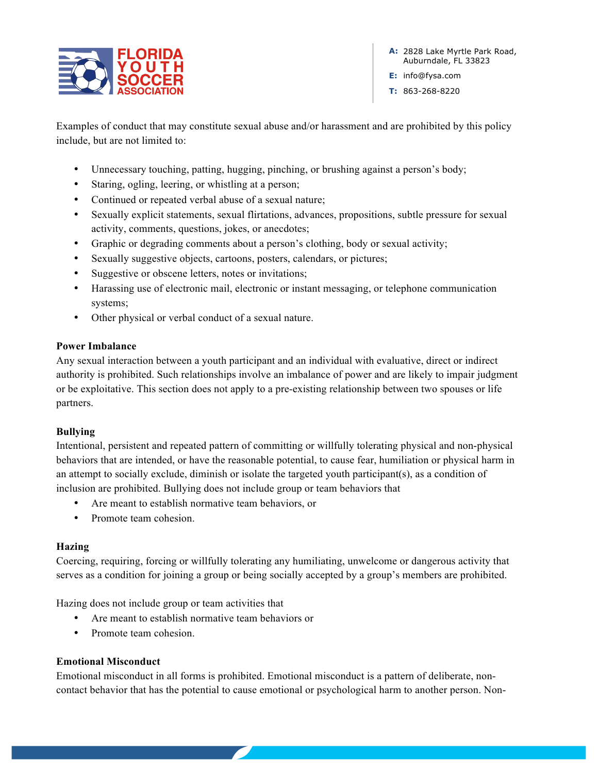

**E:** info@fysa.com

**T:** 863-268-8220

Examples of conduct that may constitute sexual abuse and/or harassment and are prohibited by this policy include, but are not limited to:

- Unnecessary touching, patting, hugging, pinching, or brushing against a person's body;
- Staring, ogling, leering, or whistling at a person;
- Continued or repeated verbal abuse of a sexual nature;
- Sexually explicit statements, sexual flirtations, advances, propositions, subtle pressure for sexual activity, comments, questions, jokes, or anecdotes;
- Graphic or degrading comments about a person's clothing, body or sexual activity;
- Sexually suggestive objects, cartoons, posters, calendars, or pictures;
- Suggestive or obscene letters, notes or invitations;
- Harassing use of electronic mail, electronic or instant messaging, or telephone communication systems;
- Other physical or verbal conduct of a sexual nature.

### **Power Imbalance**

Any sexual interaction between a youth participant and an individual with evaluative, direct or indirect authority is prohibited. Such relationships involve an imbalance of power and are likely to impair judgment or be exploitative. This section does not apply to a pre-existing relationship between two spouses or life partners.

### **Bullying**

Intentional, persistent and repeated pattern of committing or willfully tolerating physical and non-physical behaviors that are intended, or have the reasonable potential, to cause fear, humiliation or physical harm in an attempt to socially exclude, diminish or isolate the targeted youth participant(s), as a condition of inclusion are prohibited. Bullying does not include group or team behaviors that

- Are meant to establish normative team behaviors, or
- Promote team cohesion.

### **Hazing**

Coercing, requiring, forcing or willfully tolerating any humiliating, unwelcome or dangerous activity that serves as a condition for joining a group or being socially accepted by a group's members are prohibited.

Hazing does not include group or team activities that

- Are meant to establish normative team behaviors or
- Promote team cohesion.

### **Emotional Misconduct**

Emotional misconduct in all forms is prohibited. Emotional misconduct is a pattern of deliberate, noncontact behavior that has the potential to cause emotional or psychological harm to another person. Non-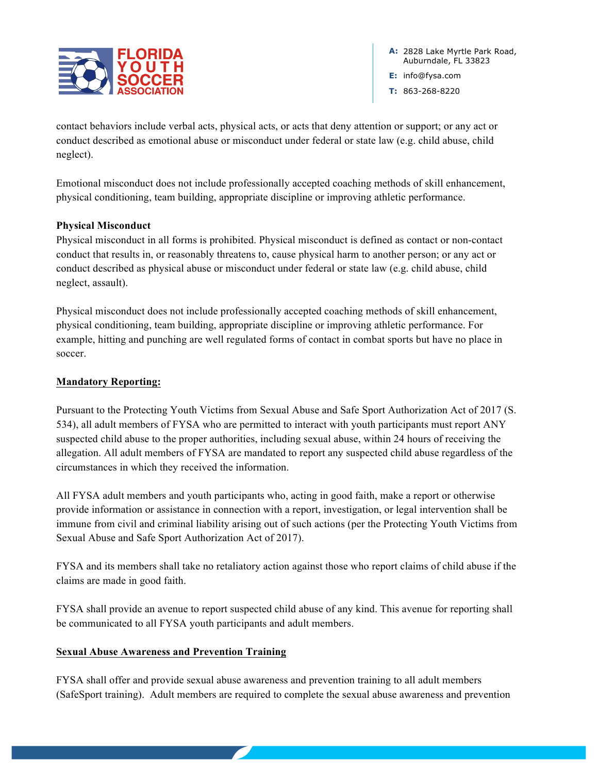

**E:** info@fysa.com

**T:** 863-268-8220

contact behaviors include verbal acts, physical acts, or acts that deny attention or support; or any act or conduct described as emotional abuse or misconduct under federal or state law (e.g. child abuse, child neglect).

Emotional misconduct does not include professionally accepted coaching methods of skill enhancement, physical conditioning, team building, appropriate discipline or improving athletic performance.

# **Physical Misconduct**

Physical misconduct in all forms is prohibited. Physical misconduct is defined as contact or non-contact conduct that results in, or reasonably threatens to, cause physical harm to another person; or any act or conduct described as physical abuse or misconduct under federal or state law (e.g. child abuse, child neglect, assault).

Physical misconduct does not include professionally accepted coaching methods of skill enhancement, physical conditioning, team building, appropriate discipline or improving athletic performance. For example, hitting and punching are well regulated forms of contact in combat sports but have no place in soccer.

# **Mandatory Reporting:**

Pursuant to the Protecting Youth Victims from Sexual Abuse and Safe Sport Authorization Act of 2017 (S. 534), all adult members of FYSA who are permitted to interact with youth participants must report ANY suspected child abuse to the proper authorities, including sexual abuse, within 24 hours of receiving the allegation. All adult members of FYSA are mandated to report any suspected child abuse regardless of the circumstances in which they received the information.

All FYSA adult members and youth participants who, acting in good faith, make a report or otherwise provide information or assistance in connection with a report, investigation, or legal intervention shall be immune from civil and criminal liability arising out of such actions (per the Protecting Youth Victims from Sexual Abuse and Safe Sport Authorization Act of 2017).

FYSA and its members shall take no retaliatory action against those who report claims of child abuse if the claims are made in good faith.

FYSA shall provide an avenue to report suspected child abuse of any kind. This avenue for reporting shall be communicated to all FYSA youth participants and adult members.

# **Sexual Abuse Awareness and Prevention Training**

FYSA shall offer and provide sexual abuse awareness and prevention training to all adult members (SafeSport training). Adult members are required to complete the sexual abuse awareness and prevention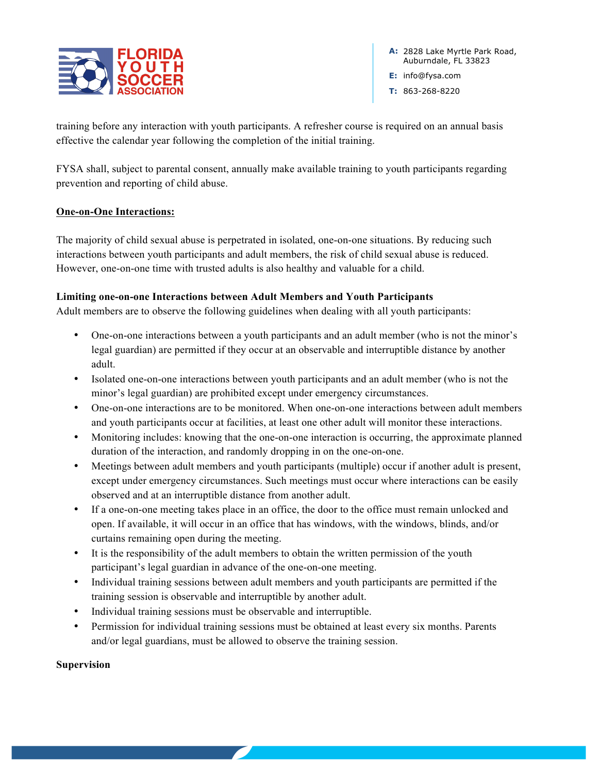

**E:** info@fysa.com

**T:** 863-268-8220

training before any interaction with youth participants. A refresher course is required on an annual basis effective the calendar year following the completion of the initial training.

FYSA shall, subject to parental consent, annually make available training to youth participants regarding prevention and reporting of child abuse.

## **One-on-One Interactions:**

The majority of child sexual abuse is perpetrated in isolated, one-on-one situations. By reducing such interactions between youth participants and adult members, the risk of child sexual abuse is reduced. However, one-on-one time with trusted adults is also healthy and valuable for a child.

## **Limiting one-on-one Interactions between Adult Members and Youth Participants**

Adult members are to observe the following guidelines when dealing with all youth participants:

- One-on-one interactions between a youth participants and an adult member (who is not the minor's legal guardian) are permitted if they occur at an observable and interruptible distance by another adult.
- Isolated one-on-one interactions between youth participants and an adult member (who is not the minor's legal guardian) are prohibited except under emergency circumstances.
- One-on-one interactions are to be monitored. When one-on-one interactions between adult members and youth participants occur at facilities, at least one other adult will monitor these interactions.
- Monitoring includes: knowing that the one-on-one interaction is occurring, the approximate planned duration of the interaction, and randomly dropping in on the one-on-one.
- Meetings between adult members and youth participants (multiple) occur if another adult is present, except under emergency circumstances. Such meetings must occur where interactions can be easily observed and at an interruptible distance from another adult.
- If a one-on-one meeting takes place in an office, the door to the office must remain unlocked and open. If available, it will occur in an office that has windows, with the windows, blinds, and/or curtains remaining open during the meeting.
- It is the responsibility of the adult members to obtain the written permission of the youth participant's legal guardian in advance of the one-on-one meeting.
- Individual training sessions between adult members and youth participants are permitted if the training session is observable and interruptible by another adult.
- Individual training sessions must be observable and interruptible.
- Permission for individual training sessions must be obtained at least every six months. Parents and/or legal guardians, must be allowed to observe the training session.

### **Supervision**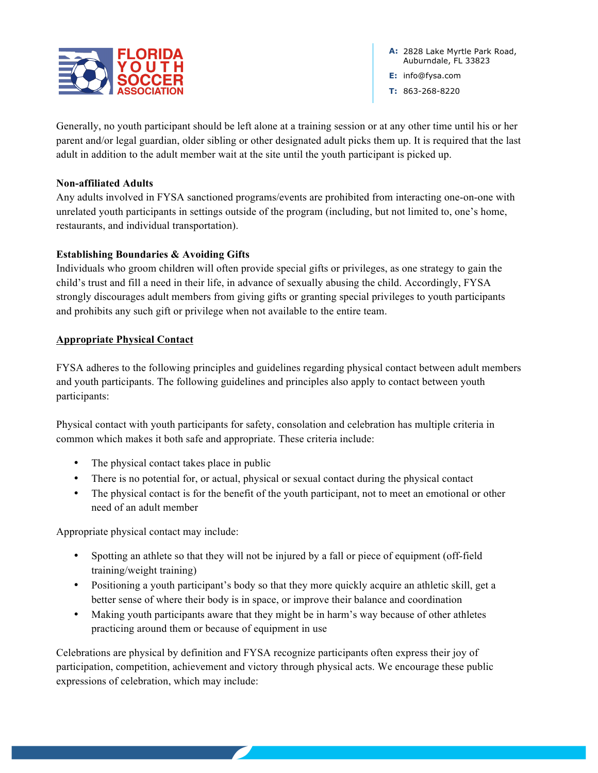

**E:** info@fysa.com

**T:** 863-268-8220

Generally, no youth participant should be left alone at a training session or at any other time until his or her parent and/or legal guardian, older sibling or other designated adult picks them up. It is required that the last adult in addition to the adult member wait at the site until the youth participant is picked up.

## **Non-affiliated Adults**

Any adults involved in FYSA sanctioned programs/events are prohibited from interacting one-on-one with unrelated youth participants in settings outside of the program (including, but not limited to, one's home, restaurants, and individual transportation).

# **Establishing Boundaries & Avoiding Gifts**

Individuals who groom children will often provide special gifts or privileges, as one strategy to gain the child's trust and fill a need in their life, in advance of sexually abusing the child. Accordingly, FYSA strongly discourages adult members from giving gifts or granting special privileges to youth participants and prohibits any such gift or privilege when not available to the entire team.

## **Appropriate Physical Contact**

FYSA adheres to the following principles and guidelines regarding physical contact between adult members and youth participants. The following guidelines and principles also apply to contact between youth participants:

Physical contact with youth participants for safety, consolation and celebration has multiple criteria in common which makes it both safe and appropriate. These criteria include:

- The physical contact takes place in public
- There is no potential for, or actual, physical or sexual contact during the physical contact
- The physical contact is for the benefit of the youth participant, not to meet an emotional or other need of an adult member

Appropriate physical contact may include:

- Spotting an athlete so that they will not be injured by a fall or piece of equipment (off-field training/weight training)
- Positioning a youth participant's body so that they more quickly acquire an athletic skill, get a better sense of where their body is in space, or improve their balance and coordination
- Making youth participants aware that they might be in harm's way because of other athletes practicing around them or because of equipment in use

Celebrations are physical by definition and FYSA recognize participants often express their joy of participation, competition, achievement and victory through physical acts. We encourage these public expressions of celebration, which may include: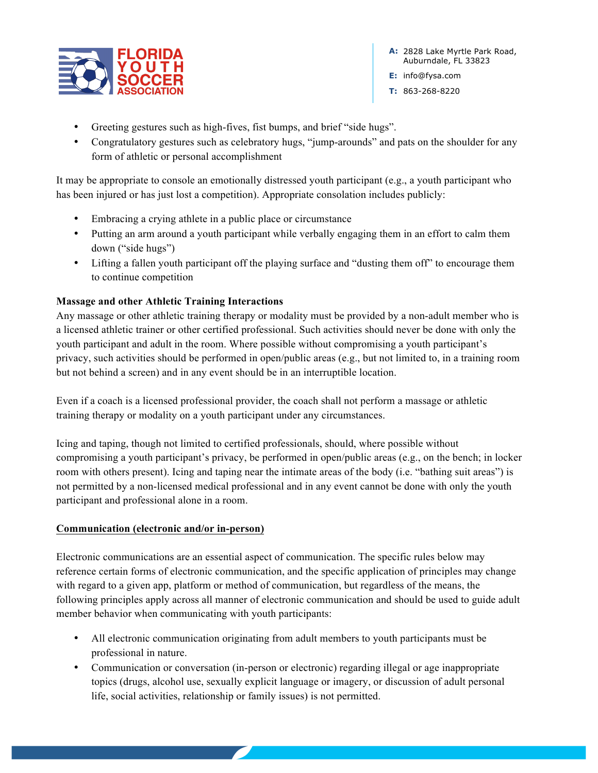

**E:** info@fysa.com

**T:** 863-268-8220

- Greeting gestures such as high-fives, fist bumps, and brief "side hugs".
- Congratulatory gestures such as celebratory hugs, "jump-arounds" and pats on the shoulder for any form of athletic or personal accomplishment

It may be appropriate to console an emotionally distressed youth participant (e.g., a youth participant who has been injured or has just lost a competition). Appropriate consolation includes publicly:

- Embracing a crying athlete in a public place or circumstance
- Putting an arm around a youth participant while verbally engaging them in an effort to calm them down ("side hugs")
- Lifting a fallen youth participant off the playing surface and "dusting them off" to encourage them to continue competition

## **Massage and other Athletic Training Interactions**

Any massage or other athletic training therapy or modality must be provided by a non-adult member who is a licensed athletic trainer or other certified professional. Such activities should never be done with only the youth participant and adult in the room. Where possible without compromising a youth participant's privacy, such activities should be performed in open/public areas (e.g., but not limited to, in a training room but not behind a screen) and in any event should be in an interruptible location.

Even if a coach is a licensed professional provider, the coach shall not perform a massage or athletic training therapy or modality on a youth participant under any circumstances.

Icing and taping, though not limited to certified professionals, should, where possible without compromising a youth participant's privacy, be performed in open/public areas (e.g., on the bench; in locker room with others present). Icing and taping near the intimate areas of the body (i.e. "bathing suit areas") is not permitted by a non-licensed medical professional and in any event cannot be done with only the youth participant and professional alone in a room.

### **Communication (electronic and/or in-person)**

Electronic communications are an essential aspect of communication. The specific rules below may reference certain forms of electronic communication, and the specific application of principles may change with regard to a given app, platform or method of communication, but regardless of the means, the following principles apply across all manner of electronic communication and should be used to guide adult member behavior when communicating with youth participants:

- All electronic communication originating from adult members to youth participants must be professional in nature.
- Communication or conversation (in-person or electronic) regarding illegal or age inappropriate topics (drugs, alcohol use, sexually explicit language or imagery, or discussion of adult personal life, social activities, relationship or family issues) is not permitted.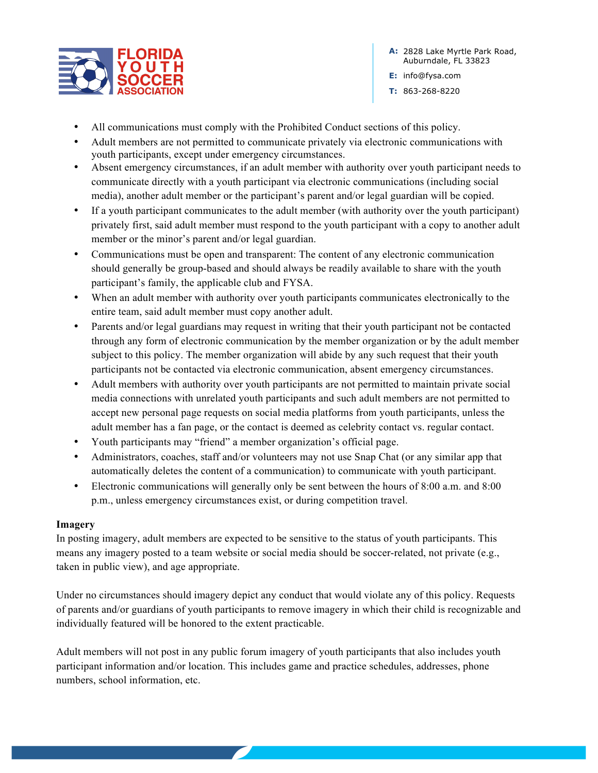

**E:** info@fysa.com **T:** 863-268-8220

- All communications must comply with the Prohibited Conduct sections of this policy.
- Adult members are not permitted to communicate privately via electronic communications with youth participants, except under emergency circumstances.
- Absent emergency circumstances, if an adult member with authority over youth participant needs to communicate directly with a youth participant via electronic communications (including social media), another adult member or the participant's parent and/or legal guardian will be copied.
- If a youth participant communicates to the adult member (with authority over the youth participant) privately first, said adult member must respond to the youth participant with a copy to another adult member or the minor's parent and/or legal guardian.
- Communications must be open and transparent: The content of any electronic communication should generally be group-based and should always be readily available to share with the youth participant's family, the applicable club and FYSA.
- When an adult member with authority over youth participants communicates electronically to the entire team, said adult member must copy another adult.
- Parents and/or legal guardians may request in writing that their youth participant not be contacted through any form of electronic communication by the member organization or by the adult member subject to this policy. The member organization will abide by any such request that their youth participants not be contacted via electronic communication, absent emergency circumstances.
- Adult members with authority over youth participants are not permitted to maintain private social media connections with unrelated youth participants and such adult members are not permitted to accept new personal page requests on social media platforms from youth participants, unless the adult member has a fan page, or the contact is deemed as celebrity contact vs. regular contact.
- Youth participants may "friend" a member organization's official page.
- Administrators, coaches, staff and/or volunteers may not use Snap Chat (or any similar app that automatically deletes the content of a communication) to communicate with youth participant.
- Electronic communications will generally only be sent between the hours of 8:00 a.m. and 8:00 p.m., unless emergency circumstances exist, or during competition travel.

### **Imagery**

In posting imagery, adult members are expected to be sensitive to the status of youth participants. This means any imagery posted to a team website or social media should be soccer-related, not private (e.g., taken in public view), and age appropriate.

Under no circumstances should imagery depict any conduct that would violate any of this policy. Requests of parents and/or guardians of youth participants to remove imagery in which their child is recognizable and individually featured will be honored to the extent practicable.

Adult members will not post in any public forum imagery of youth participants that also includes youth participant information and/or location. This includes game and practice schedules, addresses, phone numbers, school information, etc.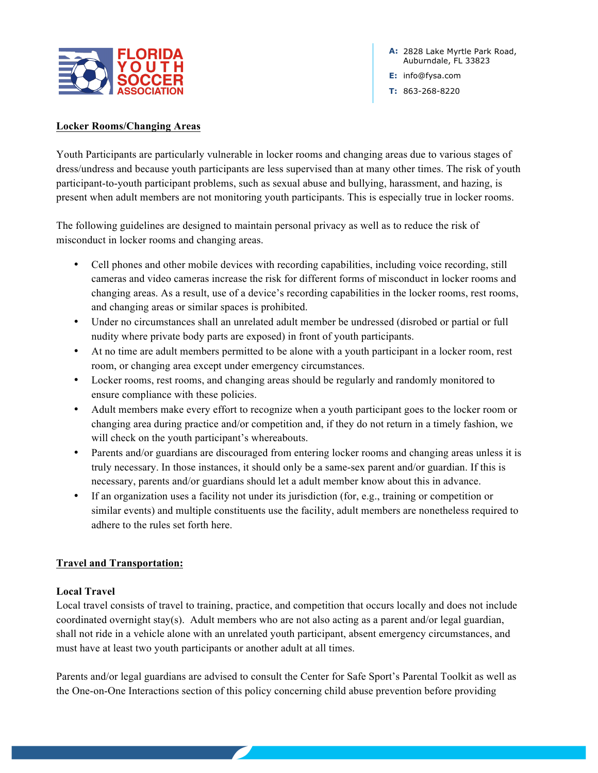

**A:** 2828 Lake Myrtle Park Road, Auburndale, FL 33823 **E:** info@fysa.com **T:** 863-268-8220

## **Locker Rooms/Changing Areas**

Youth Participants are particularly vulnerable in locker rooms and changing areas due to various stages of dress/undress and because youth participants are less supervised than at many other times. The risk of youth participant-to-youth participant problems, such as sexual abuse and bullying, harassment, and hazing, is present when adult members are not monitoring youth participants. This is especially true in locker rooms.

The following guidelines are designed to maintain personal privacy as well as to reduce the risk of misconduct in locker rooms and changing areas.

- Cell phones and other mobile devices with recording capabilities, including voice recording, still cameras and video cameras increase the risk for different forms of misconduct in locker rooms and changing areas. As a result, use of a device's recording capabilities in the locker rooms, rest rooms, and changing areas or similar spaces is prohibited.
- Under no circumstances shall an unrelated adult member be undressed (disrobed or partial or full nudity where private body parts are exposed) in front of youth participants.
- At no time are adult members permitted to be alone with a youth participant in a locker room, rest room, or changing area except under emergency circumstances.
- Locker rooms, rest rooms, and changing areas should be regularly and randomly monitored to ensure compliance with these policies.
- Adult members make every effort to recognize when a youth participant goes to the locker room or changing area during practice and/or competition and, if they do not return in a timely fashion, we will check on the youth participant's whereabouts.
- Parents and/or guardians are discouraged from entering locker rooms and changing areas unless it is truly necessary. In those instances, it should only be a same-sex parent and/or guardian. If this is necessary, parents and/or guardians should let a adult member know about this in advance.
- If an organization uses a facility not under its jurisdiction (for, e.g., training or competition or similar events) and multiple constituents use the facility, adult members are nonetheless required to adhere to the rules set forth here.

# **Travel and Transportation:**

# **Local Travel**

Local travel consists of travel to training, practice, and competition that occurs locally and does not include coordinated overnight stay(s). Adult members who are not also acting as a parent and/or legal guardian, shall not ride in a vehicle alone with an unrelated youth participant, absent emergency circumstances, and must have at least two youth participants or another adult at all times.

Parents and/or legal guardians are advised to consult the Center for Safe Sport's Parental Toolkit as well as the One-on-One Interactions section of this policy concerning child abuse prevention before providing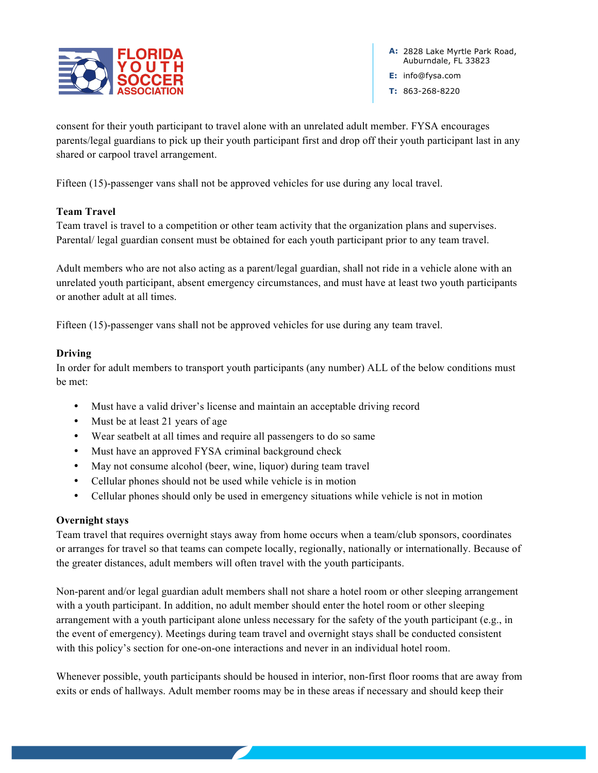

**E:** info@fysa.com

**T:** 863-268-8220

consent for their youth participant to travel alone with an unrelated adult member. FYSA encourages parents/legal guardians to pick up their youth participant first and drop off their youth participant last in any shared or carpool travel arrangement.

Fifteen (15)-passenger vans shall not be approved vehicles for use during any local travel.

## **Team Travel**

Team travel is travel to a competition or other team activity that the organization plans and supervises. Parental/ legal guardian consent must be obtained for each youth participant prior to any team travel.

Adult members who are not also acting as a parent/legal guardian, shall not ride in a vehicle alone with an unrelated youth participant, absent emergency circumstances, and must have at least two youth participants or another adult at all times.

Fifteen (15)-passenger vans shall not be approved vehicles for use during any team travel.

## **Driving**

In order for adult members to transport youth participants (any number) ALL of the below conditions must be met:

- Must have a valid driver's license and maintain an acceptable driving record
- Must be at least 21 years of age
- Wear seatbelt at all times and require all passengers to do so same
- Must have an approved FYSA criminal background check
- May not consume alcohol (beer, wine, liquor) during team travel
- Cellular phones should not be used while vehicle is in motion
- Cellular phones should only be used in emergency situations while vehicle is not in motion

### **Overnight stays**

Team travel that requires overnight stays away from home occurs when a team/club sponsors, coordinates or arranges for travel so that teams can compete locally, regionally, nationally or internationally. Because of the greater distances, adult members will often travel with the youth participants.

Non-parent and/or legal guardian adult members shall not share a hotel room or other sleeping arrangement with a youth participant. In addition, no adult member should enter the hotel room or other sleeping arrangement with a youth participant alone unless necessary for the safety of the youth participant (e.g., in the event of emergency). Meetings during team travel and overnight stays shall be conducted consistent with this policy's section for one-on-one interactions and never in an individual hotel room.

Whenever possible, youth participants should be housed in interior, non-first floor rooms that are away from exits or ends of hallways. Adult member rooms may be in these areas if necessary and should keep their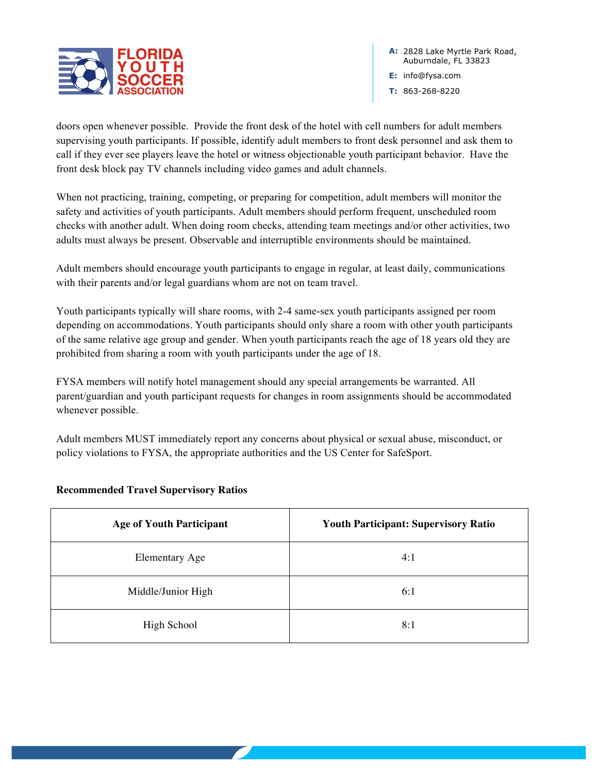

**A:** 2828 Lake Myrtle Park Road, Auburndale, FL 33823 **E:** info@fysa.com

**T:** 863-268-8220

doors open whenever possible. Provide the front desk of the hotel with cell numbers for adult members supervising youth participants. If possible, identify adult members to front desk personnel and ask them to call if they ever see players leave the hotel or witness objectionable youth participant behavior. Have the front desk block pay TV channels including video games and adult channels.

When not practicing, training, competing, or preparing for competition, adult members will monitor the safety and activities of youth participants. Adult members should perform frequent, unscheduled room checks with another adult. When doing room checks, attending team meetings and/or other activities, two adults must always be present. Observable and interruptible environments should be maintained.

Adult members should encourage youth participants to engage in regular, at least daily, communications with their parents and/or legal guardians whom are not on team travel.

Youth participants typically will share rooms, with 2-4 same-sex youth participants assigned per room depending on accommodations. Youth participants should only share a room with other youth participants of the same relative age group and gender. When youth participants reach the age of 18 years old they are prohibited from sharing a room with youth participants under the age of 18.

FYSA members will notify hotel management should any special arrangements be warranted. All parent/guardian and youth participant requests for changes in room assignments should be accommodated whenever possible.

Adult members MUST immediately report any concerns about physical or sexual abuse, misconduct, or policy violations to FYSA, the appropriate authorities and the US Center for SafeSport.

| <b>Age of Youth Participant</b> | <b>Youth Participant: Supervisory Ratio</b> |
|---------------------------------|---------------------------------------------|
| Elementary Age                  | 4:1                                         |
| Middle/Junior High              | 6:1                                         |
| High School                     | 8:1                                         |

# **Recommended Travel Supervisory Ratios**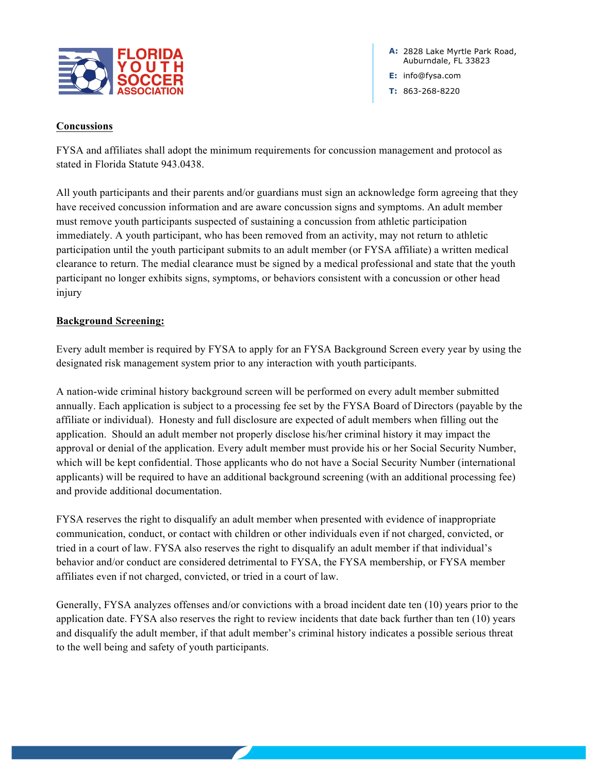

**A:** 2828 Lake Myrtle Park Road, Auburndale, FL 33823 **E:** info@fysa.com

**T:** 863-268-8220

### **Concussions**

FYSA and affiliates shall adopt the minimum requirements for concussion management and protocol as stated in Florida Statute 943.0438.

All youth participants and their parents and/or guardians must sign an acknowledge form agreeing that they have received concussion information and are aware concussion signs and symptoms. An adult member must remove youth participants suspected of sustaining a concussion from athletic participation immediately. A youth participant, who has been removed from an activity, may not return to athletic participation until the youth participant submits to an adult member (or FYSA affiliate) a written medical clearance to return. The medial clearance must be signed by a medical professional and state that the youth participant no longer exhibits signs, symptoms, or behaviors consistent with a concussion or other head injury

### **Background Screening:**

Every adult member is required by FYSA to apply for an FYSA Background Screen every year by using the designated risk management system prior to any interaction with youth participants.

A nation-wide criminal history background screen will be performed on every adult member submitted annually. Each application is subject to a processing fee set by the FYSA Board of Directors (payable by the affiliate or individual). Honesty and full disclosure are expected of adult members when filling out the application. Should an adult member not properly disclose his/her criminal history it may impact the approval or denial of the application. Every adult member must provide his or her Social Security Number, which will be kept confidential. Those applicants who do not have a Social Security Number (international applicants) will be required to have an additional background screening (with an additional processing fee) and provide additional documentation.

FYSA reserves the right to disqualify an adult member when presented with evidence of inappropriate communication, conduct, or contact with children or other individuals even if not charged, convicted, or tried in a court of law. FYSA also reserves the right to disqualify an adult member if that individual's behavior and/or conduct are considered detrimental to FYSA, the FYSA membership, or FYSA member affiliates even if not charged, convicted, or tried in a court of law.

Generally, FYSA analyzes offenses and/or convictions with a broad incident date ten (10) years prior to the application date. FYSA also reserves the right to review incidents that date back further than ten (10) years and disqualify the adult member, if that adult member's criminal history indicates a possible serious threat to the well being and safety of youth participants.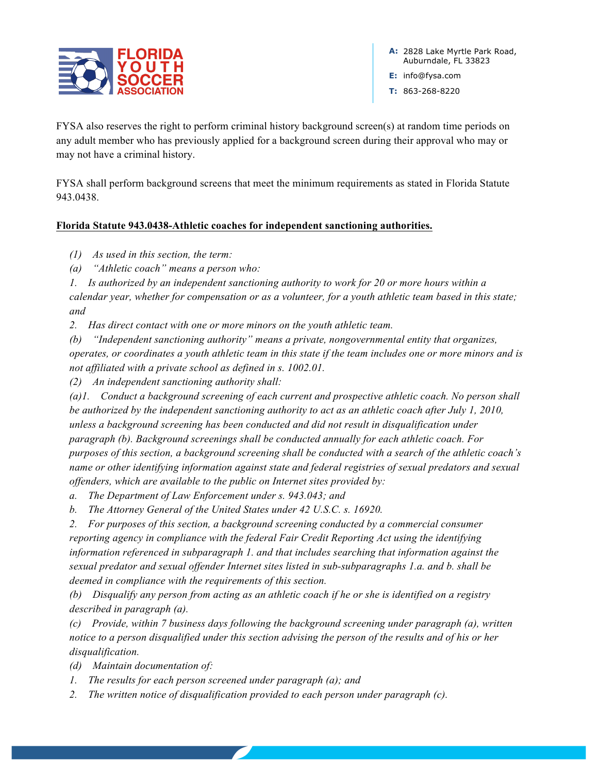

**E:** info@fysa.com

**T:** 863-268-8220

FYSA also reserves the right to perform criminal history background screen(s) at random time periods on any adult member who has previously applied for a background screen during their approval who may or may not have a criminal history.

FYSA shall perform background screens that meet the minimum requirements as stated in Florida Statute 943.0438.

## **Florida Statute 943.0438-Athletic coaches for independent sanctioning authorities.**

*(1) As used in this section, the term:*

*(a) "Athletic coach" means a person who:*

*1. Is authorized by an independent sanctioning authority to work for 20 or more hours within a calendar year, whether for compensation or as a volunteer, for a youth athletic team based in this state; and*

*2. Has direct contact with one or more minors on the youth athletic team.*

*(b) "Independent sanctioning authority" means a private, nongovernmental entity that organizes, operates, or coordinates a youth athletic team in this state if the team includes one or more minors and is not affiliated with a private school as defined in s. 1002.01.*

*(2) An independent sanctioning authority shall:*

*(a)1. Conduct a background screening of each current and prospective athletic coach. No person shall be authorized by the independent sanctioning authority to act as an athletic coach after July 1, 2010, unless a background screening has been conducted and did not result in disqualification under paragraph (b). Background screenings shall be conducted annually for each athletic coach. For purposes of this section, a background screening shall be conducted with a search of the athletic coach's name or other identifying information against state and federal registries of sexual predators and sexual offenders, which are available to the public on Internet sites provided by:*

*a. The Department of Law Enforcement under s. 943.043; and*

*b. The Attorney General of the United States under 42 U.S.C. s. 16920.*

*2. For purposes of this section, a background screening conducted by a commercial consumer reporting agency in compliance with the federal Fair Credit Reporting Act using the identifying information referenced in subparagraph 1. and that includes searching that information against the sexual predator and sexual offender Internet sites listed in sub-subparagraphs 1.a. and b. shall be deemed in compliance with the requirements of this section.*

*(b) Disqualify any person from acting as an athletic coach if he or she is identified on a registry described in paragraph (a).*

*(c) Provide, within 7 business days following the background screening under paragraph (a), written notice to a person disqualified under this section advising the person of the results and of his or her disqualification.*

*(d) Maintain documentation of:*

*1. The results for each person screened under paragraph (a); and*

*2. The written notice of disqualification provided to each person under paragraph (c).*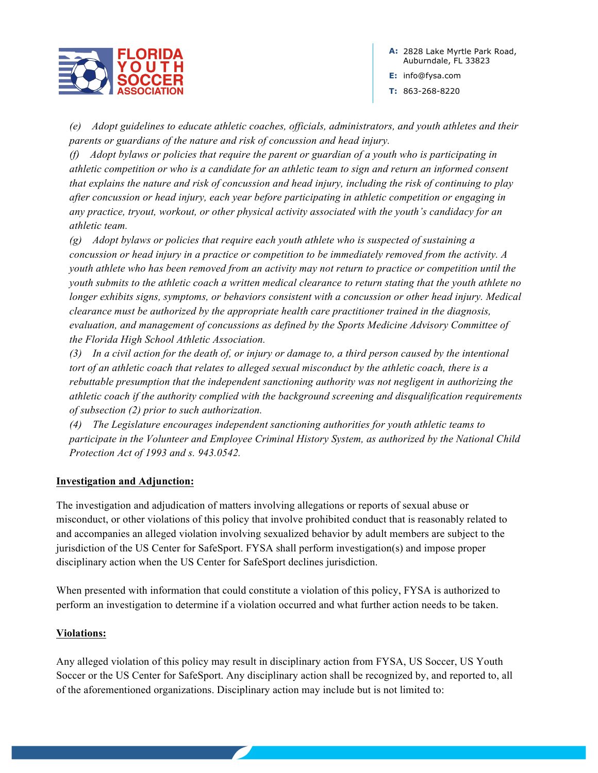

**E:** info@fysa.com

**T:** 863-268-8220

*(e) Adopt guidelines to educate athletic coaches, officials, administrators, and youth athletes and their parents or guardians of the nature and risk of concussion and head injury.*

*(f) Adopt bylaws or policies that require the parent or guardian of a youth who is participating in athletic competition or who is a candidate for an athletic team to sign and return an informed consent that explains the nature and risk of concussion and head injury, including the risk of continuing to play after concussion or head injury, each year before participating in athletic competition or engaging in any practice, tryout, workout, or other physical activity associated with the youth's candidacy for an athletic team.*

*(g) Adopt bylaws or policies that require each youth athlete who is suspected of sustaining a concussion or head injury in a practice or competition to be immediately removed from the activity. A youth athlete who has been removed from an activity may not return to practice or competition until the youth submits to the athletic coach a written medical clearance to return stating that the youth athlete no longer exhibits signs, symptoms, or behaviors consistent with a concussion or other head injury. Medical clearance must be authorized by the appropriate health care practitioner trained in the diagnosis, evaluation, and management of concussions as defined by the Sports Medicine Advisory Committee of the Florida High School Athletic Association.*

*(3) In a civil action for the death of, or injury or damage to, a third person caused by the intentional tort of an athletic coach that relates to alleged sexual misconduct by the athletic coach, there is a rebuttable presumption that the independent sanctioning authority was not negligent in authorizing the athletic coach if the authority complied with the background screening and disqualification requirements of subsection (2) prior to such authorization.*

*(4) The Legislature encourages independent sanctioning authorities for youth athletic teams to participate in the Volunteer and Employee Criminal History System, as authorized by the National Child Protection Act of 1993 and s. 943.0542.*

# **Investigation and Adjunction:**

The investigation and adjudication of matters involving allegations or reports of sexual abuse or misconduct, or other violations of this policy that involve prohibited conduct that is reasonably related to and accompanies an alleged violation involving sexualized behavior by adult members are subject to the jurisdiction of the US Center for SafeSport. FYSA shall perform investigation(s) and impose proper disciplinary action when the US Center for SafeSport declines jurisdiction.

When presented with information that could constitute a violation of this policy, FYSA is authorized to perform an investigation to determine if a violation occurred and what further action needs to be taken.

### **Violations:**

Any alleged violation of this policy may result in disciplinary action from FYSA, US Soccer, US Youth Soccer or the US Center for SafeSport. Any disciplinary action shall be recognized by, and reported to, all of the aforementioned organizations. Disciplinary action may include but is not limited to: